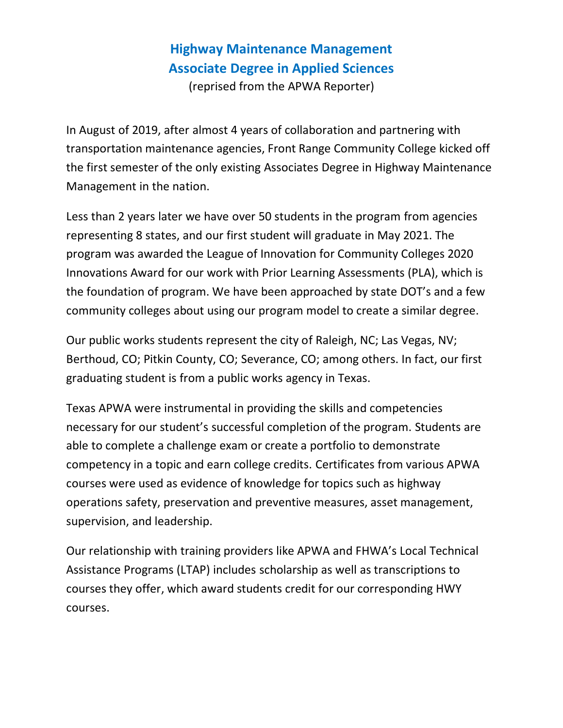## **Highway Maintenance Management Associate Degree in Applied Sciences**

(reprised from the APWA Reporter)

In August of 2019, after almost 4 years of collaboration and partnering with transportation maintenance agencies, Front Range Community College kicked off the first semester of the only existing Associates Degree in Highway Maintenance Management in the nation.

Less than 2 years later we have over 50 students in the program from agencies representing 8 states, and our first student will graduate in May 2021. The program was awarded the League of Innovation for Community Colleges 2020 Innovations Award for our work with Prior Learning Assessments (PLA), which is the foundation of program. We have been approached by state DOT's and a few community colleges about using our program model to create a similar degree.

Our public works students represent the city of Raleigh, NC; Las Vegas, NV; Berthoud, CO; Pitkin County, CO; Severance, CO; among others. In fact, our first graduating student is from a public works agency in Texas.

Texas APWA were instrumental in providing the skills and competencies necessary for our student's successful completion of the program. Students are able to complete a challenge exam or create a portfolio to demonstrate competency in a topic and earn college credits. Certificates from various APWA courses were used as evidence of knowledge for topics such as highway operations safety, preservation and preventive measures, asset management, supervision, and leadership.

Our relationship with training providers like APWA and FHWA's Local Technical Assistance Programs (LTAP) includes scholarship as well as transcriptions to courses they offer, which award students credit for our corresponding HWY courses.